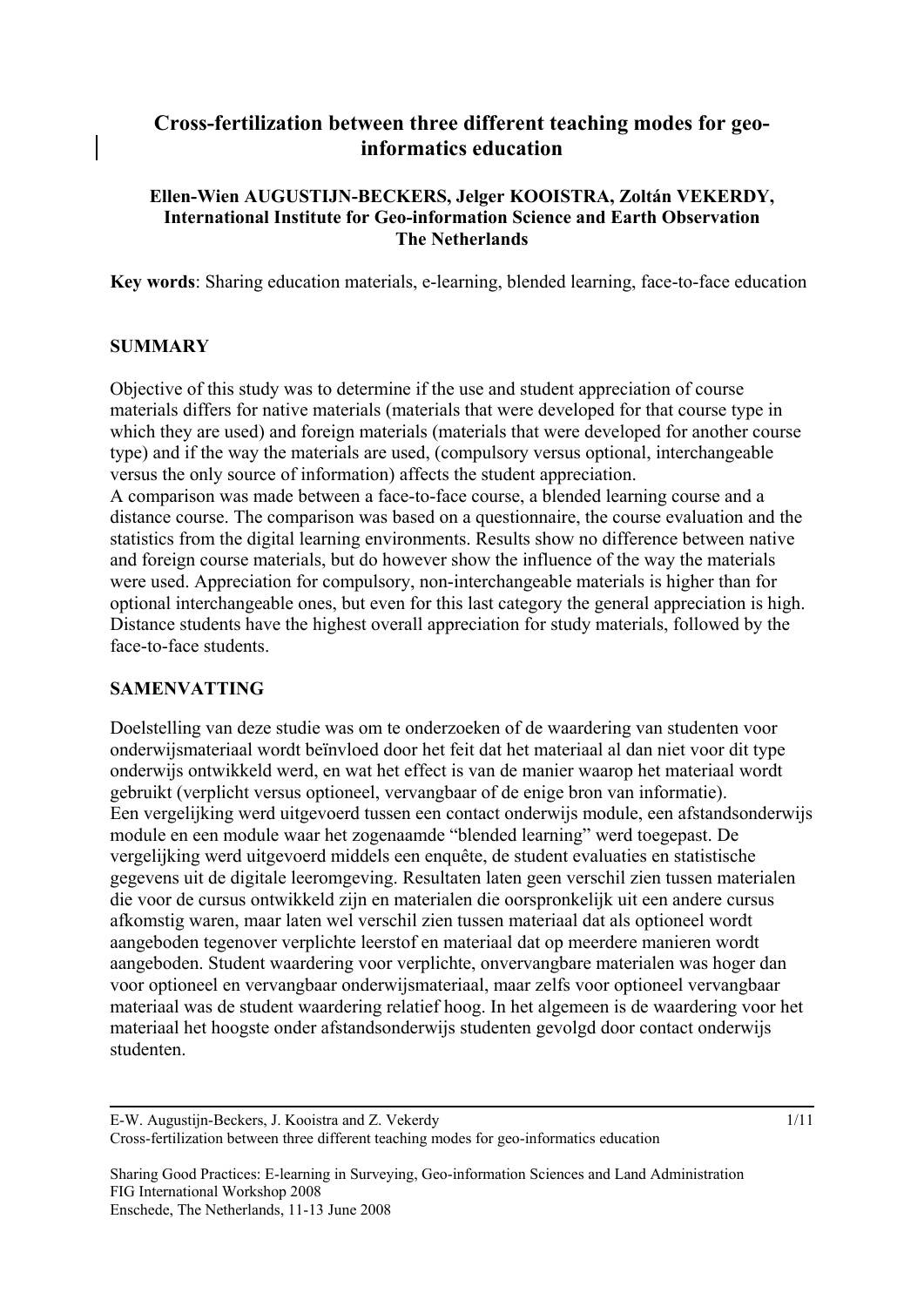# **Cross-fertilization between three different teaching modes for geoinformatics education**

### **Ellen-Wien AUGUSTIJN-BECKERS, Jelger KOOISTRA, Zoltán VEKERDY, International Institute for Geo-information Science and Earth Observation The Netherlands**

**Key words**: Sharing education materials, e-learning, blended learning, face-to-face education

#### **SUMMARY**

Objective of this study was to determine if the use and student appreciation of course materials differs for native materials (materials that were developed for that course type in which they are used) and foreign materials (materials that were developed for another course type) and if the way the materials are used, (compulsory versus optional, interchangeable versus the only source of information) affects the student appreciation.

A comparison was made between a face-to-face course, a blended learning course and a distance course. The comparison was based on a questionnaire, the course evaluation and the statistics from the digital learning environments. Results show no difference between native and foreign course materials, but do however show the influence of the way the materials were used. Appreciation for compulsory, non-interchangeable materials is higher than for optional interchangeable ones, but even for this last category the general appreciation is high. Distance students have the highest overall appreciation for study materials, followed by the face-to-face students.

#### **SAMENVATTING**

Doelstelling van deze studie was om te onderzoeken of de waardering van studenten voor onderwijsmateriaal wordt beïnvloed door het feit dat het materiaal al dan niet voor dit type onderwijs ontwikkeld werd, en wat het effect is van de manier waarop het materiaal wordt gebruikt (verplicht versus optioneel, vervangbaar of de enige bron van informatie). Een vergelijking werd uitgevoerd tussen een contact onderwijs module, een afstandsonderwijs module en een module waar het zogenaamde "blended learning" werd toegepast. De vergelijking werd uitgevoerd middels een enquête, de student evaluaties en statistische gegevens uit de digitale leeromgeving. Resultaten laten geen verschil zien tussen materialen die voor de cursus ontwikkeld zijn en materialen die oorspronkelijk uit een andere cursus afkomstig waren, maar laten wel verschil zien tussen materiaal dat als optioneel wordt aangeboden tegenover verplichte leerstof en materiaal dat op meerdere manieren wordt aangeboden. Student waardering voor verplichte, onvervangbare materialen was hoger dan voor optioneel en vervangbaar onderwijsmateriaal, maar zelfs voor optioneel vervangbaar materiaal was de student waardering relatief hoog. In het algemeen is de waardering voor het materiaal het hoogste onder afstandsonderwijs studenten gevolgd door contact onderwijs studenten.

E-W. Augustijn-Beckers, J. Kooistra and Z. Vekerdy Cross-fertilization between three different teaching modes for geo-informatics education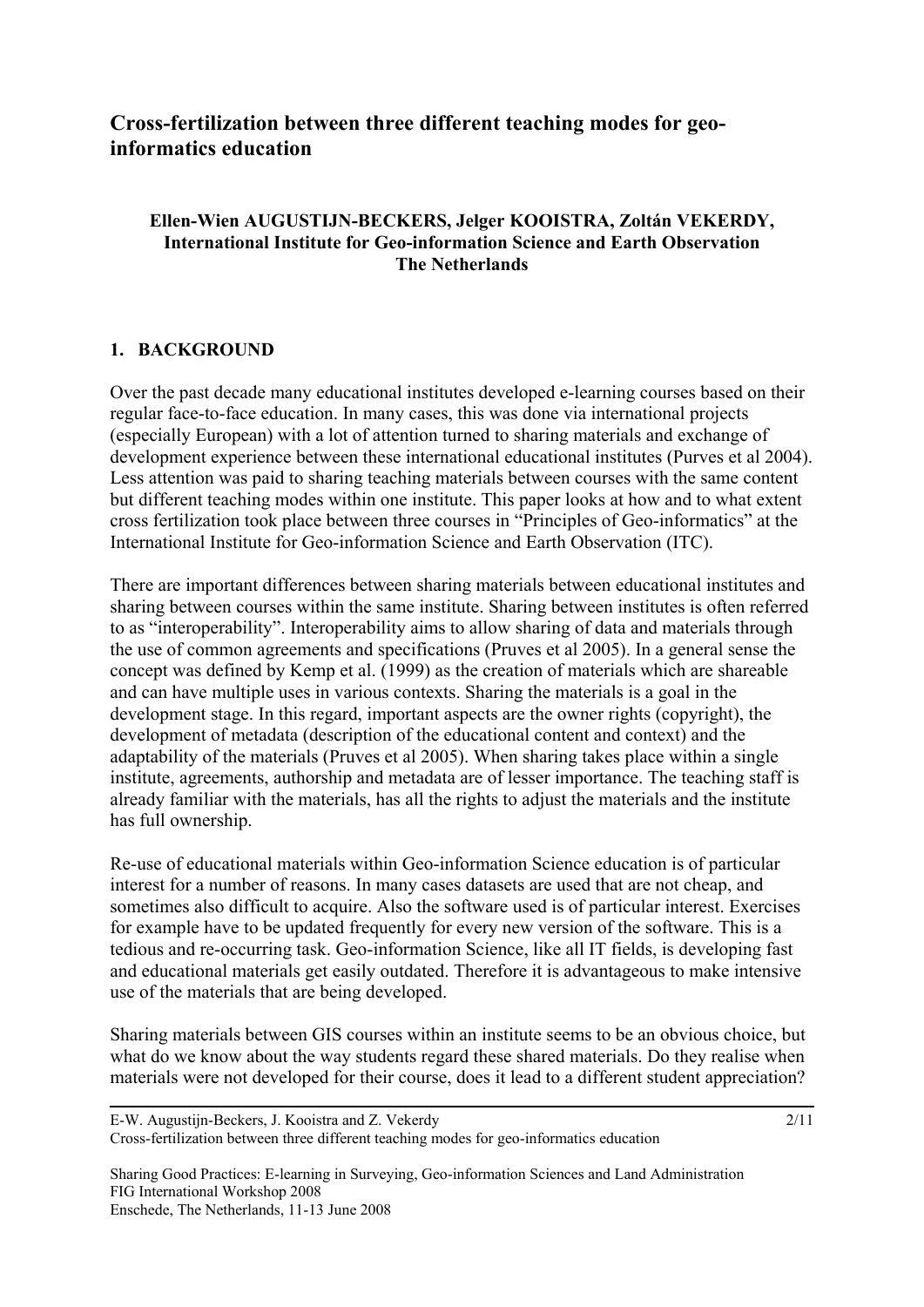# **Cross-fertilization between three different teaching modes for geoinformatics education**

### **Ellen-Wien AUGUSTIJN-BECKERS, Jelger KOOISTRA, Zoltán VEKERDY, International Institute for Geo-information Science and Earth Observation The Netherlands**

### **1. BACKGROUND**

Over the past decade many educational institutes developed e-learning courses based on their regular face-to-face education. In many cases, this was done via international projects (especially European) with a lot of attention turned to sharing materials and exchange of development experience between these international educational institutes (Purves et al 2004). Less attention was paid to sharing teaching materials between courses with the same content but different teaching modes within one institute. This paper looks at how and to what extent cross fertilization took place between three courses in "Principles of Geo-informatics" at the International Institute for Geo-information Science and Earth Observation (ITC).

There are important differences between sharing materials between educational institutes and sharing between courses within the same institute. Sharing between institutes is often referred to as "interoperability". Interoperability aims to allow sharing of data and materials through the use of common agreements and specifications (Pruves et al 2005). In a general sense the concept was defined by Kemp et al. (1999) as the creation of materials which are shareable and can have multiple uses in various contexts. Sharing the materials is a goal in the development stage. In this regard, important aspects are the owner rights (copyright), the development of metadata (description of the educational content and context) and the adaptability of the materials (Pruves et al 2005). When sharing takes place within a single institute, agreements, authorship and metadata are of lesser importance. The teaching staff is already familiar with the materials, has all the rights to adjust the materials and the institute has full ownership.

Re-use of educational materials within Geo-information Science education is of particular interest for a number of reasons. In many cases datasets are used that are not cheap, and sometimes also difficult to acquire. Also the software used is of particular interest. Exercises for example have to be updated frequently for every new version of the software. This is a tedious and re-occurring task. Geo-information Science, like all IT fields, is developing fast and educational materials get easily outdated. Therefore it is advantageous to make intensive use of the materials that are being developed.

Sharing materials between GIS courses within an institute seems to be an obvious choice, but what do we know about the way students regard these shared materials. Do they realise when materials were not developed for their course, does it lead to a different student appreciation?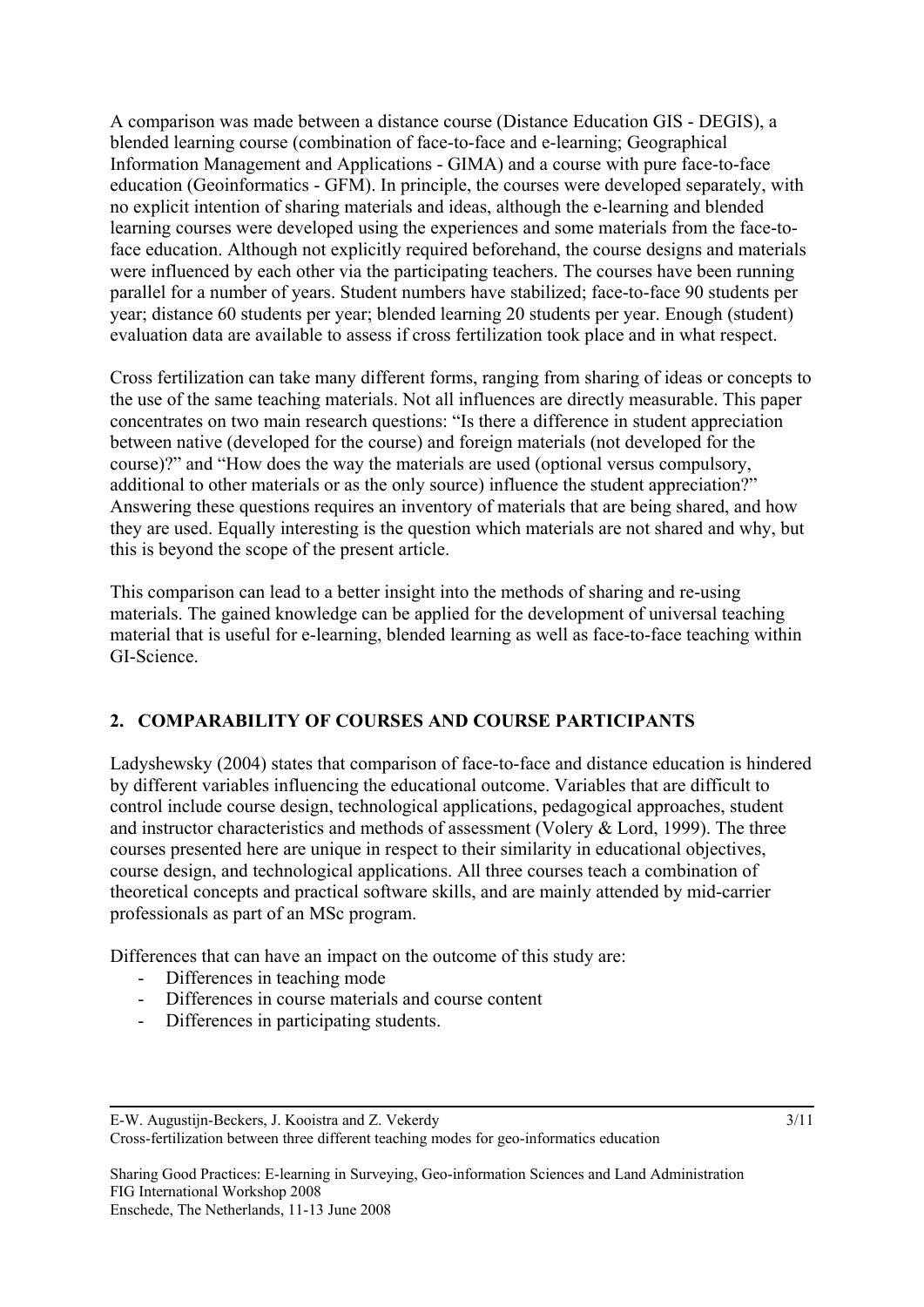A comparison was made between a distance course (Distance Education GIS - DEGIS), a blended learning course (combination of face-to-face and e-learning; Geographical Information Management and Applications - GIMA) and a course with pure face-to-face education (Geoinformatics - GFM). In principle, the courses were developed separately, with no explicit intention of sharing materials and ideas, although the e-learning and blended learning courses were developed using the experiences and some materials from the face-toface education. Although not explicitly required beforehand, the course designs and materials were influenced by each other via the participating teachers. The courses have been running parallel for a number of years. Student numbers have stabilized; face-to-face 90 students per year; distance 60 students per year; blended learning 20 students per year. Enough (student) evaluation data are available to assess if cross fertilization took place and in what respect.

Cross fertilization can take many different forms, ranging from sharing of ideas or concepts to the use of the same teaching materials. Not all influences are directly measurable. This paper concentrates on two main research questions: "Is there a difference in student appreciation between native (developed for the course) and foreign materials (not developed for the course)?" and "How does the way the materials are used (optional versus compulsory, additional to other materials or as the only source) influence the student appreciation?" Answering these questions requires an inventory of materials that are being shared, and how they are used. Equally interesting is the question which materials are not shared and why, but this is beyond the scope of the present article.

This comparison can lead to a better insight into the methods of sharing and re-using materials. The gained knowledge can be applied for the development of universal teaching material that is useful for e-learning, blended learning as well as face-to-face teaching within GI-Science.

# **2. COMPARABILITY OF COURSES AND COURSE PARTICIPANTS**

Ladyshewsky (2004) states that comparison of face-to-face and distance education is hindered by different variables influencing the educational outcome. Variables that are difficult to control include course design, technological applications, pedagogical approaches, student and instructor characteristics and methods of assessment (Volery & Lord, 1999). The three courses presented here are unique in respect to their similarity in educational objectives, course design, and technological applications. All three courses teach a combination of theoretical concepts and practical software skills, and are mainly attended by mid-carrier professionals as part of an MSc program.

Differences that can have an impact on the outcome of this study are:

- Differences in teaching mode
- Differences in course materials and course content
- Differences in participating students.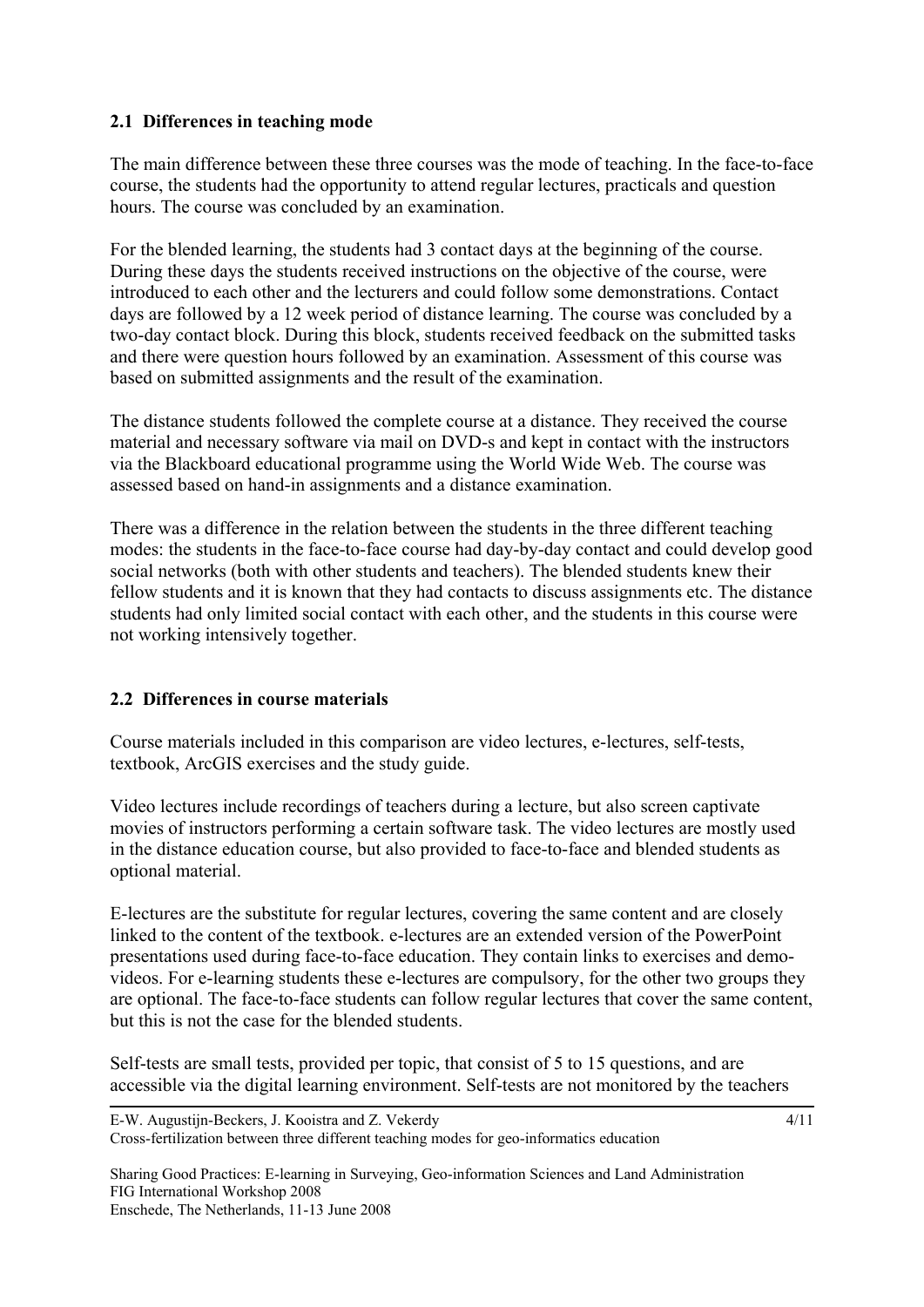### **2.1 Differences in teaching mode**

The main difference between these three courses was the mode of teaching. In the face-to-face course, the students had the opportunity to attend regular lectures, practicals and question hours. The course was concluded by an examination.

For the blended learning, the students had 3 contact days at the beginning of the course. During these days the students received instructions on the objective of the course, were introduced to each other and the lecturers and could follow some demonstrations. Contact days are followed by a 12 week period of distance learning. The course was concluded by a two-day contact block. During this block, students received feedback on the submitted tasks and there were question hours followed by an examination. Assessment of this course was based on submitted assignments and the result of the examination.

The distance students followed the complete course at a distance. They received the course material and necessary software via mail on DVD-s and kept in contact with the instructors via the Blackboard educational programme using the World Wide Web. The course was assessed based on hand-in assignments and a distance examination.

There was a difference in the relation between the students in the three different teaching modes: the students in the face-to-face course had day-by-day contact and could develop good social networks (both with other students and teachers). The blended students knew their fellow students and it is known that they had contacts to discuss assignments etc. The distance students had only limited social contact with each other, and the students in this course were not working intensively together.

# **2.2 Differences in course materials**

Course materials included in this comparison are video lectures, e-lectures, self-tests, textbook, ArcGIS exercises and the study guide.

Video lectures include recordings of teachers during a lecture, but also screen captivate movies of instructors performing a certain software task. The video lectures are mostly used in the distance education course, but also provided to face-to-face and blended students as optional material.

E-lectures are the substitute for regular lectures, covering the same content and are closely linked to the content of the textbook. e-lectures are an extended version of the PowerPoint presentations used during face-to-face education. They contain links to exercises and demovideos. For e-learning students these e-lectures are compulsory, for the other two groups they are optional. The face-to-face students can follow regular lectures that cover the same content, but this is not the case for the blended students.

Self-tests are small tests, provided per topic, that consist of 5 to 15 questions, and are accessible via the digital learning environment. Self-tests are not monitored by the teachers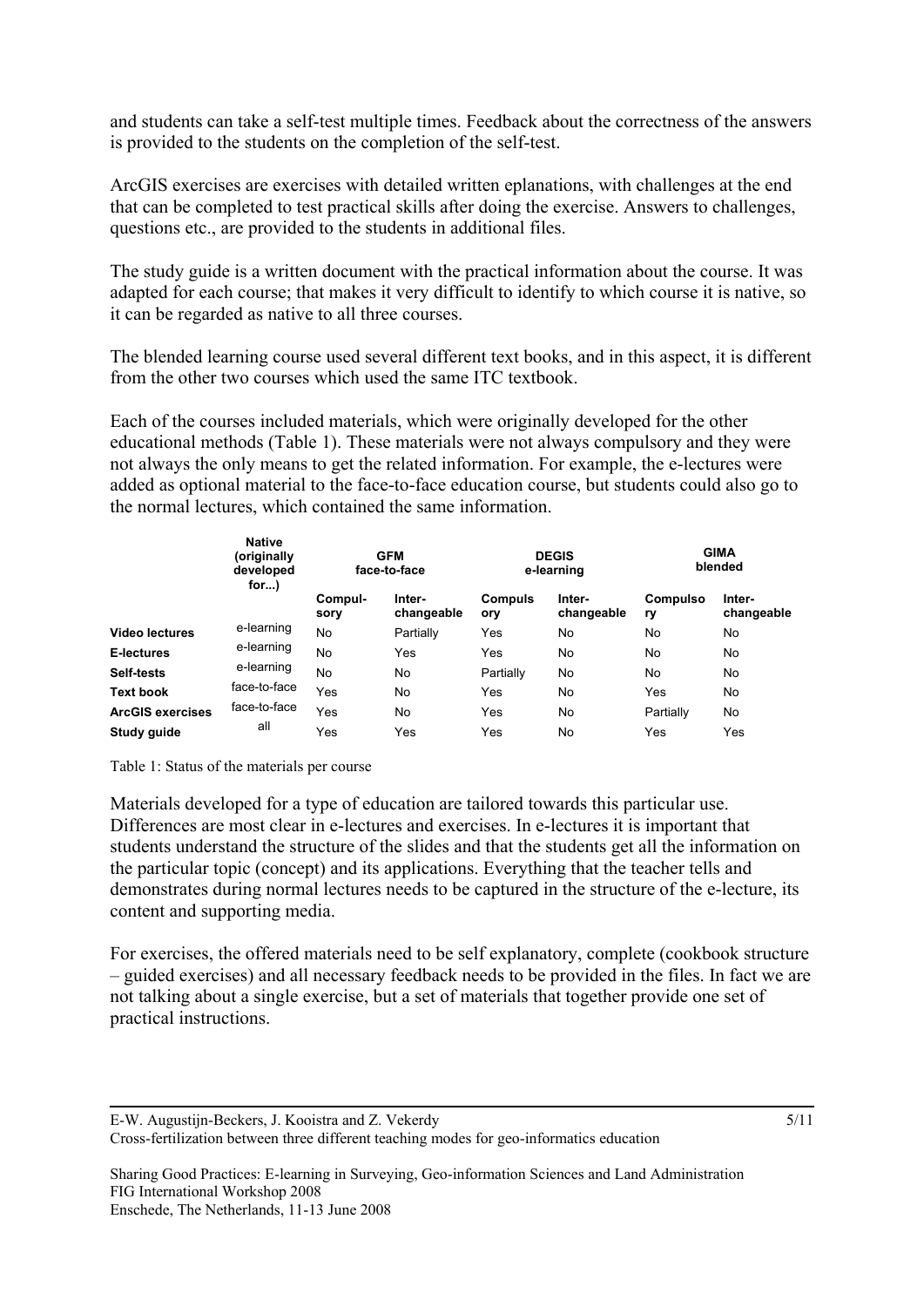and students can take a self-test multiple times. Feedback about the correctness of the answers is provided to the students on the completion of the self-test.

ArcGIS exercises are exercises with detailed written eplanations, with challenges at the end that can be completed to test practical skills after doing the exercise. Answers to challenges, questions etc., are provided to the students in additional files.

The study guide is a written document with the practical information about the course. It was adapted for each course; that makes it very difficult to identify to which course it is native, so it can be regarded as native to all three courses.

The blended learning course used several different text books, and in this aspect, it is different from the other two courses which used the same ITC textbook.

Each of the courses included materials, which were originally developed for the other educational methods (Table 1). These materials were not always compulsory and they were not always the only means to get the related information. For example, the e-lectures were added as optional material to the face-to-face education course, but students could also go to the normal lectures, which contained the same information.

|                         | <b>Native</b><br>(originally<br>developed<br>for $)$ | <b>GFM</b><br>face-to-face |                      |                       | <b>DEGIS</b><br>e-learning | <b>GIMA</b><br>blended |                      |  |
|-------------------------|------------------------------------------------------|----------------------------|----------------------|-----------------------|----------------------------|------------------------|----------------------|--|
|                         |                                                      | Compul-<br>sory            | Inter-<br>changeable | <b>Compuls</b><br>ory | Inter-<br>changeable       | Compulso<br>ry         | Inter-<br>changeable |  |
| <b>Video lectures</b>   | e-learning                                           | No                         | Partially            | Yes                   | No                         | No.                    | No                   |  |
| E-lectures              | e-learning                                           | <b>No</b>                  | Yes                  | Yes                   | No                         | No.                    | No                   |  |
| Self-tests              | e-learning                                           | <b>No</b>                  | No                   | Partially             | No                         | No                     | No                   |  |
| <b>Text book</b>        | face-to-face                                         | Yes                        | No                   | Yes                   | No                         | Yes                    | No                   |  |
| <b>ArcGIS exercises</b> | face-to-face                                         | Yes                        | No                   | Yes                   | No                         | Partially              | No.                  |  |
| Study guide             | all                                                  | Yes                        | Yes                  | Yes                   | No                         | Yes                    | Yes                  |  |

Table 1: Status of the materials per course

Materials developed for a type of education are tailored towards this particular use. Differences are most clear in e-lectures and exercises. In e-lectures it is important that students understand the structure of the slides and that the students get all the information on the particular topic (concept) and its applications. Everything that the teacher tells and demonstrates during normal lectures needs to be captured in the structure of the e-lecture, its content and supporting media.

For exercises, the offered materials need to be self explanatory, complete (cookbook structure – guided exercises) and all necessary feedback needs to be provided in the files. In fact we are not talking about a single exercise, but a set of materials that together provide one set of practical instructions.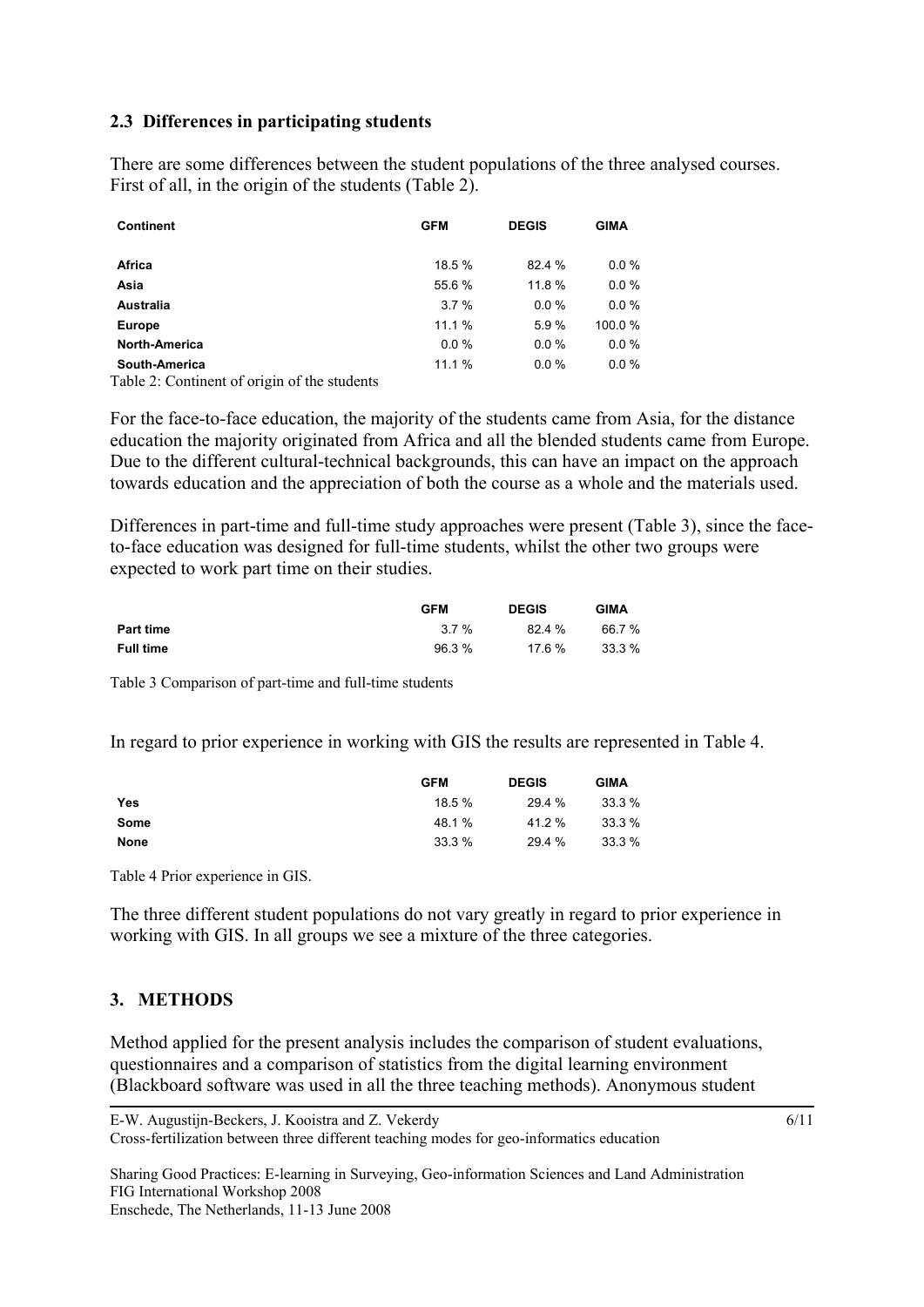### **2.3 Differences in participating students**

There are some differences between the student populations of the three analysed courses. First of all, in the origin of the students (Table 2).

| <b>Continent</b>                                                                                                | <b>GFM</b> | <b>DEGIS</b> | <b>GIMA</b> |
|-----------------------------------------------------------------------------------------------------------------|------------|--------------|-------------|
| Africa                                                                                                          | 18.5 %     | 82.4 %       | $0.0 \%$    |
| Asia                                                                                                            | 55.6 %     | 11.8 %       | $0.0 \%$    |
| Australia                                                                                                       | 3.7%       | 0.0%         | $0.0 \%$    |
| <b>Europe</b>                                                                                                   | 11.1 %     | 5.9%         | 100.0%      |
| North-America                                                                                                   | 0.0%       | 0.0%         | $0.0 \%$    |
| South-America<br>$\cdot$ $\cdot$<br>$\sim$ $\sim$ $\sim$ $\sim$ $\sim$<br>------<br>$\sim$ $\sim$ $\sim$ $\sim$ | 11.1 %     | 0.0%         | $0.0 \%$    |

Table 2: Continent of origin of the students

For the face-to-face education, the majority of the students came from Asia, for the distance education the majority originated from Africa and all the blended students came from Europe. Due to the different cultural-technical backgrounds, this can have an impact on the approach towards education and the appreciation of both the course as a whole and the materials used.

Differences in part-time and full-time study approaches were present (Table 3), since the faceto-face education was designed for full-time students, whilst the other two groups were expected to work part time on their studies.

|                  | <b>GFM</b> | <b>DEGIS</b> | <b>GIMA</b> |
|------------------|------------|--------------|-------------|
| <b>Part time</b> | $3.7\%$    | 82.4%        | 66.7 %      |
| Full time        | 96.3 %     | $17.6\%$     | 33.3 %      |

Table 3 Comparison of part-time and full-time students

In regard to prior experience in working with GIS the results are represented in Table 4.

|             | <b>GFM</b> | <b>DEGIS</b> | <b>GIMA</b> |
|-------------|------------|--------------|-------------|
| Yes         | 18.5 %     | 29.4 %       | 33.3 %      |
| Some        | 48.1%      | 41.2 %       | 33.3 %      |
| <b>None</b> | 33.3%      | 29.4 %       | 33.3%       |

Table 4 Prior experience in GIS.

The three different student populations do not vary greatly in regard to prior experience in working with GIS. In all groups we see a mixture of the three categories.

### **3. METHODS**

Method applied for the present analysis includes the comparison of student evaluations, questionnaires and a comparison of statistics from the digital learning environment (Blackboard software was used in all the three teaching methods). Anonymous student

Sharing Good Practices: E-learning in Surveying, Geo-information Sciences and Land Administration FIG International Workshop 2008 Enschede, The Netherlands, 11-13 June 2008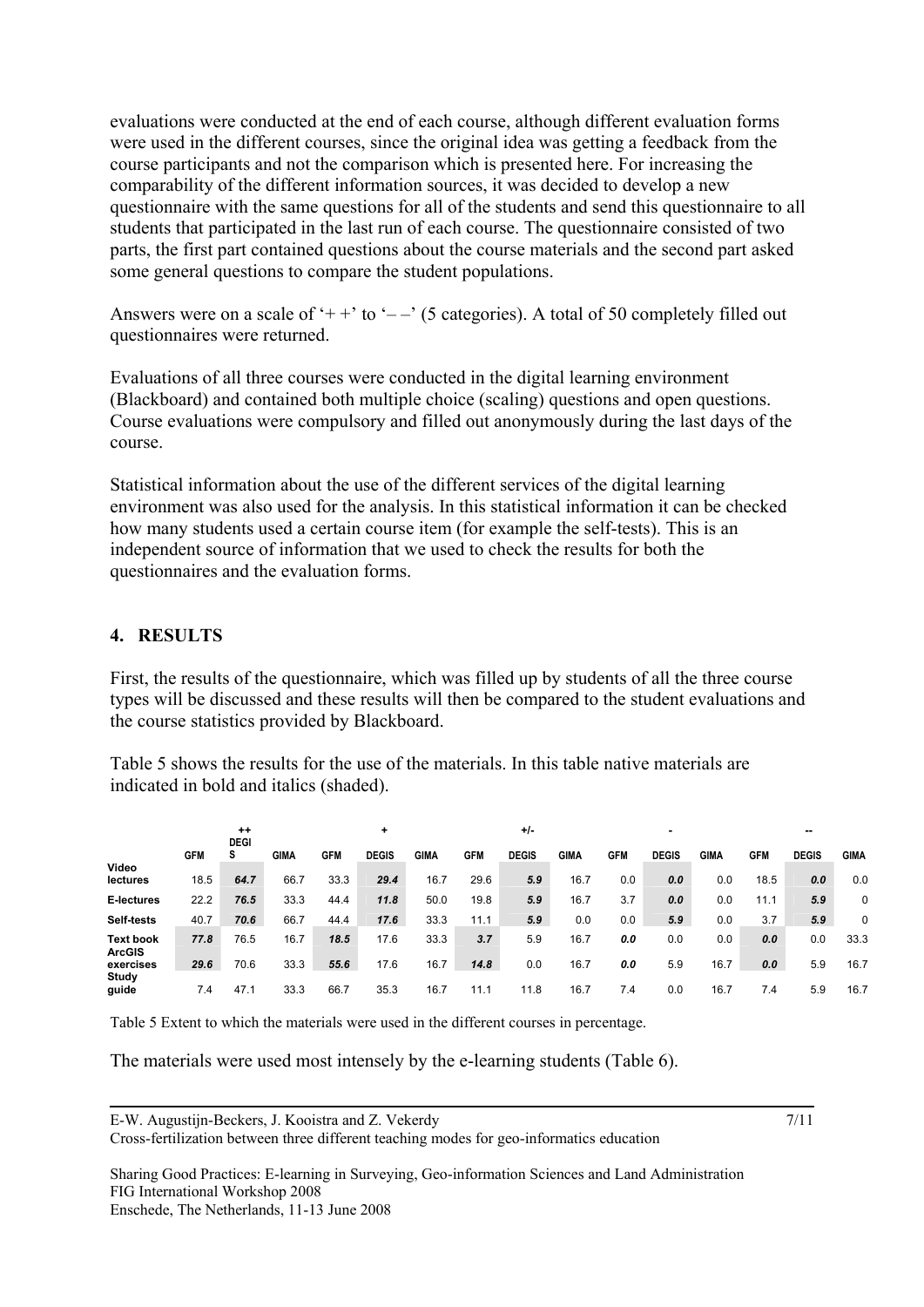evaluations were conducted at the end of each course, although different evaluation forms were used in the different courses, since the original idea was getting a feedback from the course participants and not the comparison which is presented here. For increasing the comparability of the different information sources, it was decided to develop a new questionnaire with the same questions for all of the students and send this questionnaire to all students that participated in the last run of each course. The questionnaire consisted of two parts, the first part contained questions about the course materials and the second part asked some general questions to compare the student populations.

Answers were on a scale of '++' to '--' (5 categories). A total of 50 completely filled out questionnaires were returned.

Evaluations of all three courses were conducted in the digital learning environment (Blackboard) and contained both multiple choice (scaling) questions and open questions. Course evaluations were compulsory and filled out anonymously during the last days of the course.

Statistical information about the use of the different services of the digital learning environment was also used for the analysis. In this statistical information it can be checked how many students used a certain course item (for example the self-tests). This is an independent source of information that we used to check the results for both the questionnaires and the evaluation forms.

### **4. RESULTS**

First, the results of the questionnaire, which was filled up by students of all the three course types will be discussed and these results will then be compared to the student evaluations and the course statistics provided by Blackboard.

Table 5 shows the results for the use of the materials. In this table native materials are indicated in bold and italics (shaded).

|                                   |            | $^{++}$<br>٠<br><b>DEGI</b> |      |            |              | $+/-$ |            |              |      | -          |              |      | --         |              |             |  |
|-----------------------------------|------------|-----------------------------|------|------------|--------------|-------|------------|--------------|------|------------|--------------|------|------------|--------------|-------------|--|
|                                   | <b>GFM</b> | s                           | GIMA | <b>GFM</b> | <b>DEGIS</b> | GIMA  | <b>GFM</b> | <b>DEGIS</b> | GIMA | <b>GFM</b> | <b>DEGIS</b> | GIMA | <b>GFM</b> | <b>DEGIS</b> | <b>GIMA</b> |  |
| Video<br>lectures                 | 18.5       | 64.7                        | 66.7 | 33.3       | 29.4         | 16.7  | 29.6       | 5.9          | 16.7 | 0.0        | 0.0          | 0.0  | 18.5       | 0.0          | 0.0         |  |
| E-lectures                        | 22.2       | 76.5                        | 33.3 | 44.4       | 11.8         | 50.0  | 19.8       | 5.9          | 16.7 | 3.7        | 0.0          | 0.0  | 11.1       | 5.9          | 0           |  |
| Self-tests                        | 40.7       | 70.6                        | 66.7 | 44.4       | 17.6         | 33.3  | 11.1       | 5.9          | 0.0  | 0.0        | 5.9          | 0.0  | 3.7        | 5.9          | 0           |  |
| <b>Text book</b><br><b>ArcGIS</b> | 77.8       | 76.5                        | 16.7 | 18.5       | 17.6         | 33.3  | 3.7        | 5.9          | 16.7 | 0.0        | 0.0          | 0.0  | 0.0        | 0.0          | 33.3        |  |
| exercises                         | 29.6       | 70.6                        | 33.3 | 55.6       | 17.6         | 16.7  | 14.8       | 0.0          | 16.7 | 0.0        | 5.9          | 16.7 | 0.0        | 5.9          | 16.7        |  |
| Study<br>guide                    | 7.4        | 47.1                        | 33.3 | 66.7       | 35.3         | 16.7  | 11.1       | 11.8         | 16.7 | 7.4        | 0.0          | 16.7 | 7.4        | 5.9          | 16.7        |  |

Table 5 Extent to which the materials were used in the different courses in percentage.

The materials were used most intensely by the e-learning students (Table 6).

E-W. Augustijn-Beckers, J. Kooistra and Z. Vekerdy

Cross-fertilization between three different teaching modes for geo-informatics education

7/11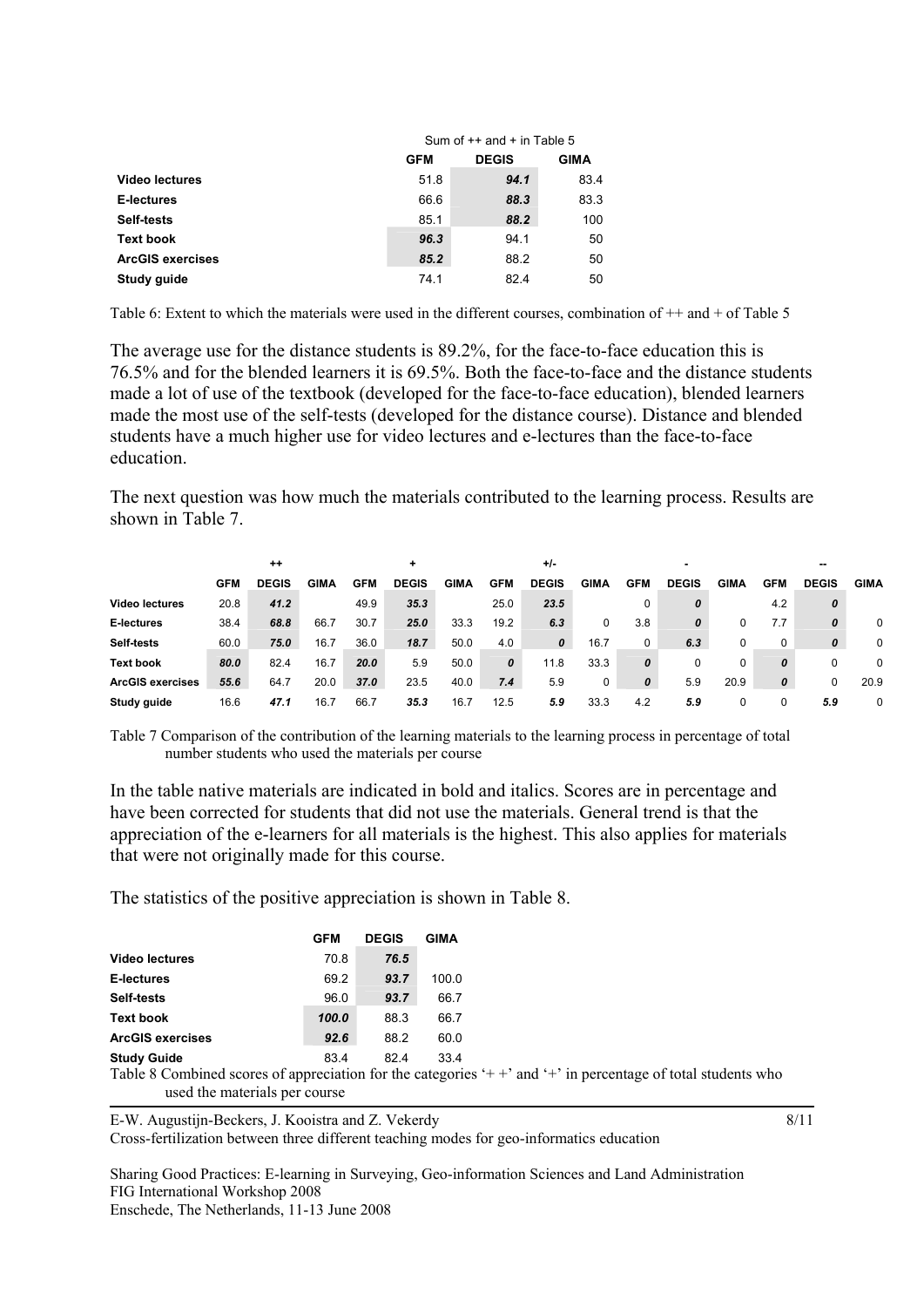|                         | Sum of $++$ and $+$ in Table 5 |              |             |  |  |
|-------------------------|--------------------------------|--------------|-------------|--|--|
|                         | <b>GFM</b>                     | <b>DEGIS</b> | <b>GIMA</b> |  |  |
| <b>Video lectures</b>   | 51.8                           | 94.1         | 83.4        |  |  |
| E-lectures              | 66.6                           | 88.3         | 83.3        |  |  |
| Self-tests              | 85.1                           | 88.2         | 100         |  |  |
| <b>Text book</b>        | 96.3                           | 94.1         | 50          |  |  |
| <b>ArcGIS exercises</b> | 85.2                           | 88.2         | 50          |  |  |
| Study guide             | 74.1                           | 82.4         | 50          |  |  |

Table 6: Extent to which the materials were used in the different courses, combination of  $++$  and  $+$  of Table 5

The average use for the distance students is 89.2%, for the face-to-face education this is 76.5% and for the blended learners it is 69.5%. Both the face-to-face and the distance students made a lot of use of the textbook (developed for the face-to-face education), blended learners made the most use of the self-tests (developed for the distance course). Distance and blended students have a much higher use for video lectures and e-lectures than the face-to-face education.

The next question was how much the materials contributed to the learning process. Results are shown in Table 7.

|                         | $^{++}$    |              |             | ٠          |              |      | $+/-$      |              |      |                  |              |             |            | $-$          |             |  |
|-------------------------|------------|--------------|-------------|------------|--------------|------|------------|--------------|------|------------------|--------------|-------------|------------|--------------|-------------|--|
|                         | <b>GFM</b> | <b>DEGIS</b> | <b>GIMA</b> | <b>GFM</b> | <b>DEGIS</b> | GIMA | <b>GFM</b> | <b>DEGIS</b> | GIMA | <b>GFM</b>       | <b>DEGIS</b> | <b>GIMA</b> | <b>GFM</b> | <b>DEGIS</b> | <b>GIMA</b> |  |
| <b>Video lectures</b>   | 20.8       | 41.2         |             | 49.9       | 35.3         |      | 25.0       | 23.5         |      |                  | 0            |             | 4.2        | 0            |             |  |
| E-lectures              | 38.4       | 68.8         | 66.7        | 30.7       | 25.0         | 33.3 | 19.2       | 6.3          | 0    | 3.8              | 0            |             | 7.7        | 0            | 0           |  |
| Self-tests              | 60.0       | 75.0         | 16.7        | 36.0       | 18.7         | 50.0 | 4.0        | 0            | 16.7 | 0                | 6.3          |             | 0          | 0            | $\mathbf 0$ |  |
| <b>Text book</b>        | 80.0       | 82.4         | 16.7        | 20.0       | 5.9          | 50.0 | 0          | 11.8         | 33.3 | 0                | 0            |             | 0          |              | $\Omega$    |  |
| <b>ArcGIS exercises</b> | 55.6       | 64.7         | 20.0        | 37.0       | 23.5         | 40.0 | 7.4        | 5.9          | 0    | $\boldsymbol{o}$ | 5.9          | 20.9        | 0          |              | 20.9        |  |
| Study guide             | 16.6       | 47.1         | 16.7        | 66.7       | 35.3         | 16.7 | 12.5       | 5.9          | 33.3 | 4.2              | 5.9          |             |            | 5.9          | $\mathbf 0$ |  |

Table 7 Comparison of the contribution of the learning materials to the learning process in percentage of total number students who used the materials per course

In the table native materials are indicated in bold and italics. Scores are in percentage and have been corrected for students that did not use the materials. General trend is that the appreciation of the e-learners for all materials is the highest. This also applies for materials that were not originally made for this course.

The statistics of the positive appreciation is shown in Table 8.

|                                |        | <b>GFM</b> | <b>DEGIS</b>          | GIMA  |
|--------------------------------|--------|------------|-----------------------|-------|
| <b>Video lectures</b>          |        | 70.8       | 76.5                  |       |
| E-lectures                     |        | 69.2       | 93.7                  | 100.0 |
| Self-tests                     |        | 96.0       | 93.7                  | 66.7  |
| <b>Text book</b>               |        | 100.0      | 88.3                  | 66.7  |
| <b>ArcGIS exercises</b>        |        | 92.6       | 88.2                  | 60.0  |
| <b>Study Guide</b><br>-------- | $\sim$ | 83.4       | 82.4<br>$\sim$ $\sim$ | 33.4  |

Table 8 Combined scores of appreciation for the categories '++' and '+' in percentage of total students who used the materials per course

E-W. Augustijn-Beckers, J. Kooistra and Z. Vekerdy Cross-fertilization between three different teaching modes for geo-informatics education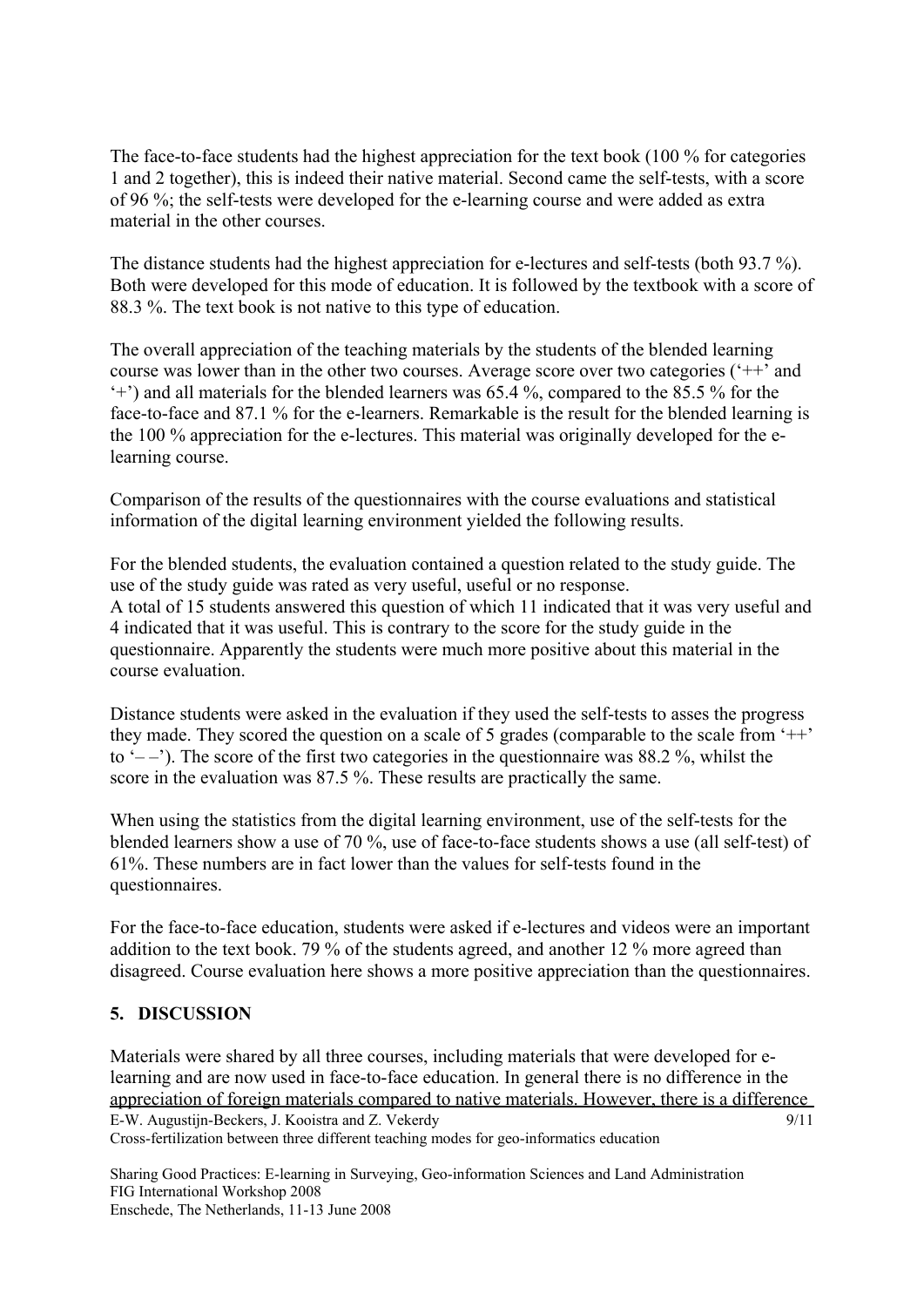The face-to-face students had the highest appreciation for the text book (100 % for categories 1 and 2 together), this is indeed their native material. Second came the self-tests, with a score of 96 %; the self-tests were developed for the e-learning course and were added as extra material in the other courses.

The distance students had the highest appreciation for e-lectures and self-tests (both 93.7 %). Both were developed for this mode of education. It is followed by the textbook with a score of 88.3 %. The text book is not native to this type of education.

The overall appreciation of the teaching materials by the students of the blended learning course was lower than in the other two courses. Average score over two categories ('++' and '+') and all materials for the blended learners was 65.4 %, compared to the 85.5 % for the face-to-face and 87.1 % for the e-learners. Remarkable is the result for the blended learning is the 100 % appreciation for the e-lectures. This material was originally developed for the elearning course.

Comparison of the results of the questionnaires with the course evaluations and statistical information of the digital learning environment yielded the following results.

For the blended students, the evaluation contained a question related to the study guide. The use of the study guide was rated as very useful, useful or no response. A total of 15 students answered this question of which 11 indicated that it was very useful and 4 indicated that it was useful. This is contrary to the score for the study guide in the questionnaire. Apparently the students were much more positive about this material in the course evaluation.

Distance students were asked in the evaluation if they used the self-tests to asses the progress they made. They scored the question on a scale of 5 grades (comparable to the scale from '++' to  $(-\frac{1}{2})$ . The score of the first two categories in the questionnaire was 88.2 %, whilst the score in the evaluation was 87.5 %. These results are practically the same.

When using the statistics from the digital learning environment, use of the self-tests for the blended learners show a use of 70 %, use of face-to-face students shows a use (all self-test) of 61%. These numbers are in fact lower than the values for self-tests found in the questionnaires.

For the face-to-face education, students were asked if e-lectures and videos were an important addition to the text book. 79 % of the students agreed, and another 12 % more agreed than disagreed. Course evaluation here shows a more positive appreciation than the questionnaires.

### **5. DISCUSSION**

E-W. Augustijn-Beckers, J. Kooistra and Z. Vekerdy Cross-fertilization between three different teaching modes for geo-informatics education 9/11 Materials were shared by all three courses, including materials that were developed for elearning and are now used in face-to-face education. In general there is no difference in the appreciation of foreign materials compared to native materials. However, there is a difference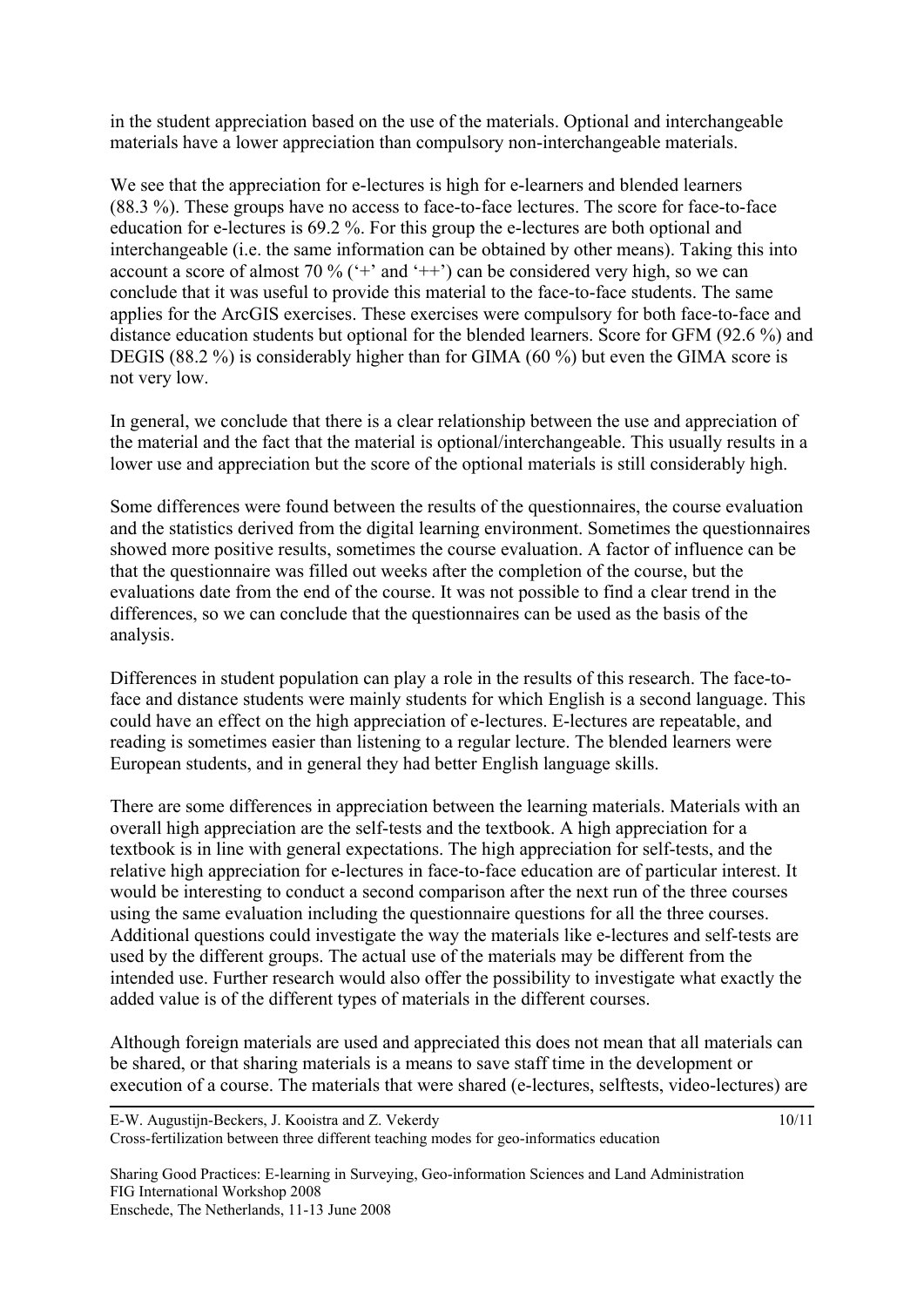in the student appreciation based on the use of the materials. Optional and interchangeable materials have a lower appreciation than compulsory non-interchangeable materials.

We see that the appreciation for e-lectures is high for e-learners and blended learners (88.3 %). These groups have no access to face-to-face lectures. The score for face-to-face education for e-lectures is 69.2 %. For this group the e-lectures are both optional and interchangeable (i.e. the same information can be obtained by other means). Taking this into account a score of almost 70 % ( $+$  and  $+$ ) can be considered very high, so we can conclude that it was useful to provide this material to the face-to-face students. The same applies for the ArcGIS exercises. These exercises were compulsory for both face-to-face and distance education students but optional for the blended learners. Score for GFM (92.6 %) and DEGIS (88.2 %) is considerably higher than for GIMA (60 %) but even the GIMA score is not very low.

In general, we conclude that there is a clear relationship between the use and appreciation of the material and the fact that the material is optional/interchangeable. This usually results in a lower use and appreciation but the score of the optional materials is still considerably high.

Some differences were found between the results of the questionnaires, the course evaluation and the statistics derived from the digital learning environment. Sometimes the questionnaires showed more positive results, sometimes the course evaluation. A factor of influence can be that the questionnaire was filled out weeks after the completion of the course, but the evaluations date from the end of the course. It was not possible to find a clear trend in the differences, so we can conclude that the questionnaires can be used as the basis of the analysis.

Differences in student population can play a role in the results of this research. The face-toface and distance students were mainly students for which English is a second language. This could have an effect on the high appreciation of e-lectures. E-lectures are repeatable, and reading is sometimes easier than listening to a regular lecture. The blended learners were European students, and in general they had better English language skills.

There are some differences in appreciation between the learning materials. Materials with an overall high appreciation are the self-tests and the textbook. A high appreciation for a textbook is in line with general expectations. The high appreciation for self-tests, and the relative high appreciation for e-lectures in face-to-face education are of particular interest. It would be interesting to conduct a second comparison after the next run of the three courses using the same evaluation including the questionnaire questions for all the three courses. Additional questions could investigate the way the materials like e-lectures and self-tests are used by the different groups. The actual use of the materials may be different from the intended use. Further research would also offer the possibility to investigate what exactly the added value is of the different types of materials in the different courses.

Although foreign materials are used and appreciated this does not mean that all materials can be shared, or that sharing materials is a means to save staff time in the development or execution of a course. The materials that were shared (e-lectures, selftests, video-lectures) are